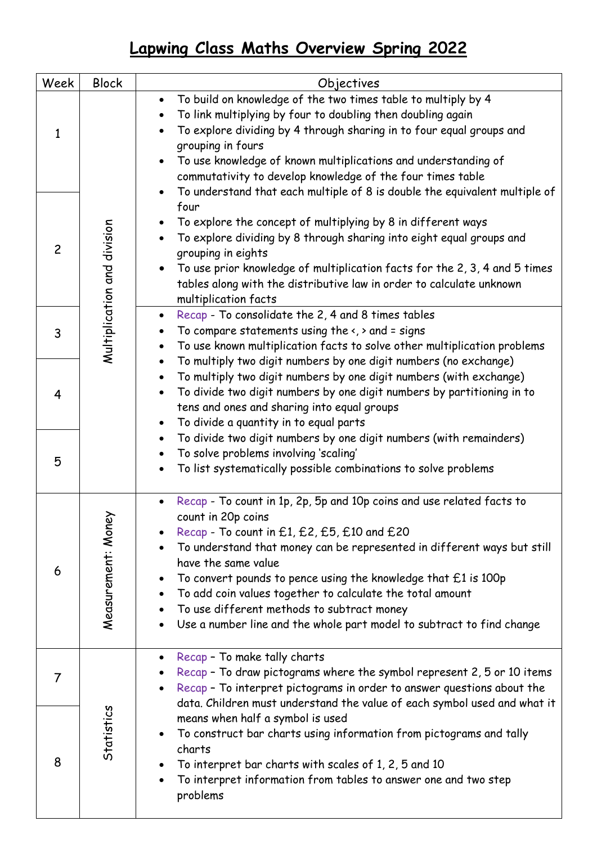## **Lapwing Class Maths Overview Spring 2022**

| Week           | <b>Block</b>                | Objectives                                                                                                                                                                                                                                                                                                                                                                                                                                                                                                                                  |
|----------------|-----------------------------|---------------------------------------------------------------------------------------------------------------------------------------------------------------------------------------------------------------------------------------------------------------------------------------------------------------------------------------------------------------------------------------------------------------------------------------------------------------------------------------------------------------------------------------------|
| $\mathbf{1}$   | Multiplication and division | To build on knowledge of the two times table to multiply by 4<br>$\bullet$<br>To link multiplying by four to doubling then doubling again<br>$\bullet$<br>To explore dividing by 4 through sharing in to four equal groups and<br>grouping in fours<br>To use knowledge of known multiplications and understanding of<br>commutativity to develop knowledge of the four times table<br>To understand that each multiple of 8 is double the equivalent multiple of                                                                           |
| $\overline{c}$ |                             | four<br>To explore the concept of multiplying by 8 in different ways<br>$\bullet$<br>To explore dividing by 8 through sharing into eight equal groups and<br>grouping in eights<br>To use prior knowledge of multiplication facts for the 2, 3, 4 and 5 times<br>tables along with the distributive law in order to calculate unknown<br>multiplication facts                                                                                                                                                                               |
| 3              |                             | Recap - To consolidate the 2, 4 and 8 times tables<br>$\bullet$<br>To compare statements using the $\langle \cdot \rangle$ and = signs<br>$\bullet$<br>To use known multiplication facts to solve other multiplication problems<br>$\bullet$                                                                                                                                                                                                                                                                                                |
| 4              |                             | To multiply two digit numbers by one digit numbers (no exchange)<br>$\bullet$<br>To multiply two digit numbers by one digit numbers (with exchange)<br>$\bullet$<br>To divide two digit numbers by one digit numbers by partitioning in to<br>$\bullet$<br>tens and ones and sharing into equal groups<br>To divide a quantity in to equal parts<br>$\bullet$                                                                                                                                                                               |
| 5              |                             | To divide two digit numbers by one digit numbers (with remainders)<br>To solve problems involving 'scaling'<br>$\bullet$<br>To list systematically possible combinations to solve problems<br>$\bullet$                                                                                                                                                                                                                                                                                                                                     |
| 6              | Measurement: Money          | Recap - To count in 1p, 2p, 5p and 10p coins and use related facts to<br>count in 20p coins<br>Recap - To count in £1, £2, £5, £10 and £20<br>To understand that money can be represented in different ways but still<br>$\bullet$<br>have the same value<br>To convert pounds to pence using the knowledge that $£1$ is 100p<br>$\bullet$<br>To add coin values together to calculate the total amount<br>$\bullet$<br>To use different methods to subtract money<br>Use a number line and the whole part model to subtract to find change |
| 7              | Statistics                  | Recap - To make tally charts<br>$\bullet$<br>Recap - To draw pictograms where the symbol represent 2, 5 or 10 items<br>Recap - To interpret pictograms in order to answer questions about the<br>data. Children must understand the value of each symbol used and what it                                                                                                                                                                                                                                                                   |
| 8              |                             | means when half a symbol is used<br>To construct bar charts using information from pictograms and tally<br>charts<br>To interpret bar charts with scales of 1, 2, 5 and 10<br>To interpret information from tables to answer one and two step<br>problems                                                                                                                                                                                                                                                                                   |